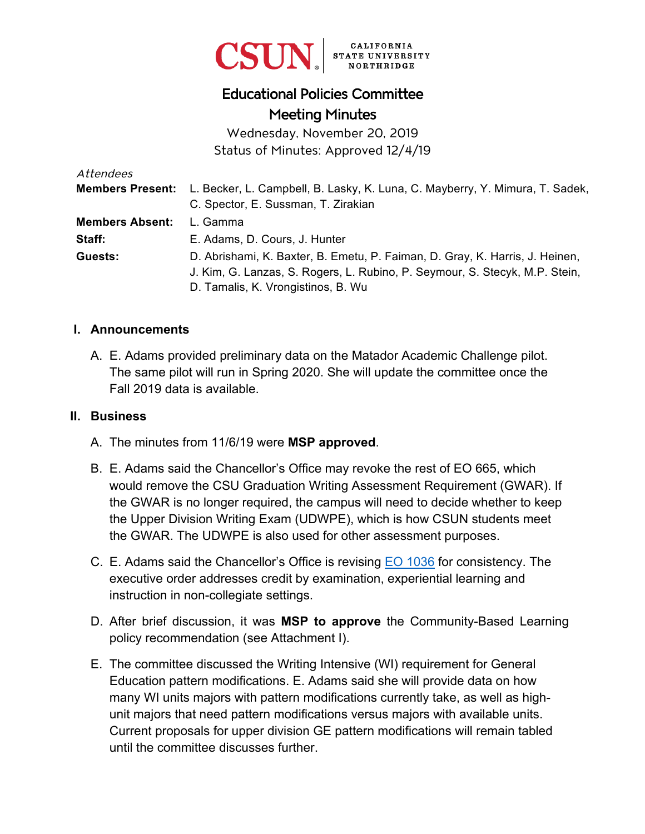

# Educational Policies Committee Meeting Minutes

Wednesday, November 20, 2019 Status of Minutes: Approved 12/4/19

| Attendees              |                                                                                                                                                                                                   |
|------------------------|---------------------------------------------------------------------------------------------------------------------------------------------------------------------------------------------------|
|                        | <b>Members Present:</b> L. Becker, L. Campbell, B. Lasky, K. Luna, C. Mayberry, Y. Mimura, T. Sadek,                                                                                              |
|                        | C. Spector, E. Sussman, T. Zirakian                                                                                                                                                               |
| <b>Members Absent:</b> | L. Gamma                                                                                                                                                                                          |
| Staff:                 | E. Adams, D. Cours, J. Hunter                                                                                                                                                                     |
| Guests:                | D. Abrishami, K. Baxter, B. Emetu, P. Faiman, D. Gray, K. Harris, J. Heinen,<br>J. Kim, G. Lanzas, S. Rogers, L. Rubino, P. Seymour, S. Stecyk, M.P. Stein,<br>D. Tamalis, K. Vrongistinos, B. Wu |

#### **I. Announcements**

A. E. Adams provided preliminary data on the Matador Academic Challenge pilot. The same pilot will run in Spring 2020. She will update the committee once the Fall 2019 data is available.

#### **II. Business**

- A. The minutes from 11/6/19 were **MSP approved**.
- B. E. Adams said the Chancellor's Office may revoke the rest of EO 665, which would remove the CSU Graduation Writing Assessment Requirement (GWAR). If the GWAR is no longer required, the campus will need to decide whether to keep the Upper Division Writing Exam (UDWPE), which is how CSUN students meet the GWAR. The UDWPE is also used for other assessment purposes.
- C. E. Adams said the Chancellor's Office is revising [EO 1036](https://calstate.policystat.com/policy/6590973/latest/) for consistency. The executive order addresses credit by examination, experiential learning and instruction in non-collegiate settings.
- D. After brief discussion, it was **MSP to approve** the Community-Based Learning policy recommendation (see Attachment I).
- E. The committee discussed the Writing Intensive (WI) requirement for General Education pattern modifications. E. Adams said she will provide data on how many WI units majors with pattern modifications currently take, as well as highunit majors that need pattern modifications versus majors with available units. Current proposals for upper division GE pattern modifications will remain tabled until the committee discusses further.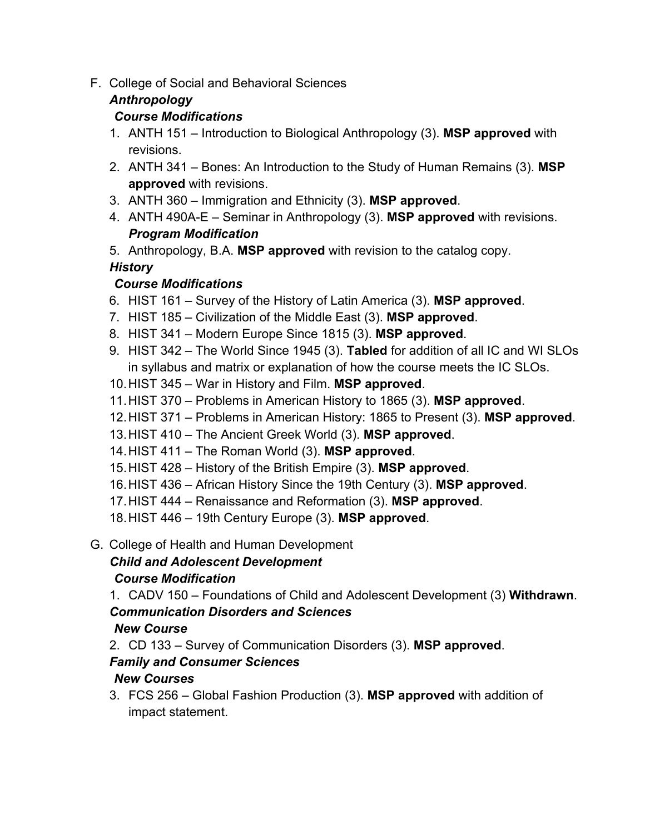F. College of Social and Behavioral Sciences

# *Anthropology*

## *Course Modifications*

- 1. ANTH 151 Introduction to Biological Anthropology (3). **MSP approved** with revisions.
- 2. ANTH 341 Bones: An Introduction to the Study of Human Remains (3). **MSP approved** with revisions.
- 3. ANTH 360 Immigration and Ethnicity (3). **MSP approved**.
- 4. ANTH 490A-E Seminar in Anthropology (3). **MSP approved** with revisions. *Program Modification*
- 5. Anthropology, B.A. **MSP approved** with revision to the catalog copy.

# *History*

# *Course Modifications*

- 6. HIST 161 Survey of the History of Latin America (3). **MSP approved**.
- 7. HIST 185 Civilization of the Middle East (3). **MSP approved**.
- 8. HIST 341 Modern Europe Since 1815 (3). **MSP approved**.
- 9. HIST 342 The World Since 1945 (3). **Tabled** for addition of all IC and WI SLOs in syllabus and matrix or explanation of how the course meets the IC SLOs.
- 10. HIST 345 War in History and Film. **MSP approved**.
- 11. HIST 370 Problems in American History to 1865 (3). **MSP approved**.
- 12. HIST 371 Problems in American History: 1865 to Present (3). **MSP approved**.
- 13. HIST 410 The Ancient Greek World (3). **MSP approved**.
- 14. HIST 411 The Roman World (3). **MSP approved**.
- 15. HIST 428 History of the British Empire (3). **MSP approved**.
- 16. HIST 436 African History Since the 19th Century (3). **MSP approved**.
- 17. HIST 444 Renaissance and Reformation (3). **MSP approved**.
- 18. HIST 446 19th Century Europe (3). **MSP approved**.
- G. College of Health and Human Development

# *Child and Adolescent Development*

# *Course Modification*

1. CADV 150 – Foundations of Child and Adolescent Development (3) **Withdrawn**. *Communication Disorders and Sciences* 

# *New Course*

2. CD 133 – Survey of Communication Disorders (3). **MSP approved**.

# *Family and Consumer Sciences*

# *New Courses*

3. FCS 256 – Global Fashion Production (3). **MSP approved** with addition of impact statement.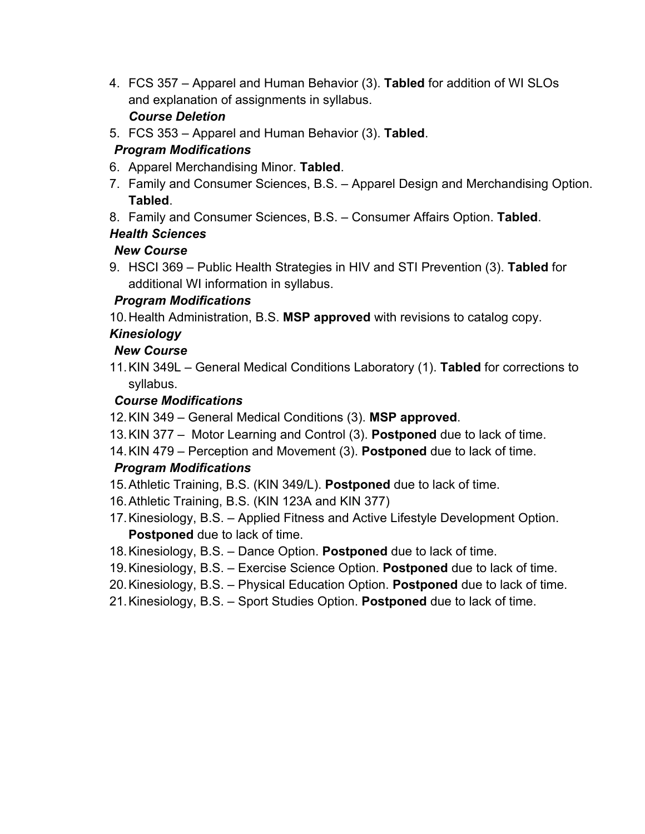- 4. FCS 357 Apparel and Human Behavior (3). **Tabled** for addition of WI SLOs and explanation of assignments in syllabus. *Course Deletion*
- 5. FCS 353 Apparel and Human Behavior (3). **Tabled**.

### *Program Modifications*

- 6. Apparel Merchandising Minor. **Tabled**.
- 7. Family and Consumer Sciences, B.S. Apparel Design and Merchandising Option. **Tabled**.
- 8. Family and Consumer Sciences, B.S. Consumer Affairs Option. **Tabled**.

### *Health Sciences*

#### *New Course*

9. HSCI 369 – Public Health Strategies in HIV and STI Prevention (3). **Tabled** for additional WI information in syllabus.

### *Program Modifications*

10. Health Administration, B.S. **MSP approved** with revisions to catalog copy.

### *Kinesiology*

### *New Course*

11.KIN 349L – General Medical Conditions Laboratory (1). **Tabled** for corrections to syllabus.

#### *Course Modifications*

- 12. KIN 349 General Medical Conditions (3). **MSP approved**.
- 13. KIN 377 Motor Learning and Control (3). **Postponed** due to lack of time.
- 14. KIN 479 Perception and Movement (3). **Postponed** due to lack of time.

### *Program Modifications*

- 15. Athletic Training, B.S. (KIN 349/L). **Postponed** due to lack of time.
- 16. Athletic Training, B.S. (KIN 123A and KIN 377)
- 17. Kinesiology, B.S. Applied Fitness and Active Lifestyle Development Option. **Postponed** due to lack of time.
- 18. Kinesiology, B.S. Dance Option. **Postponed** due to lack of time.
- 19. Kinesiology, B.S. Exercise Science Option. **Postponed** due to lack of time.
- 20. Kinesiology, B.S. Physical Education Option. **Postponed** due to lack of time.
- 21. Kinesiology, B.S. Sport Studies Option. **Postponed** due to lack of time.